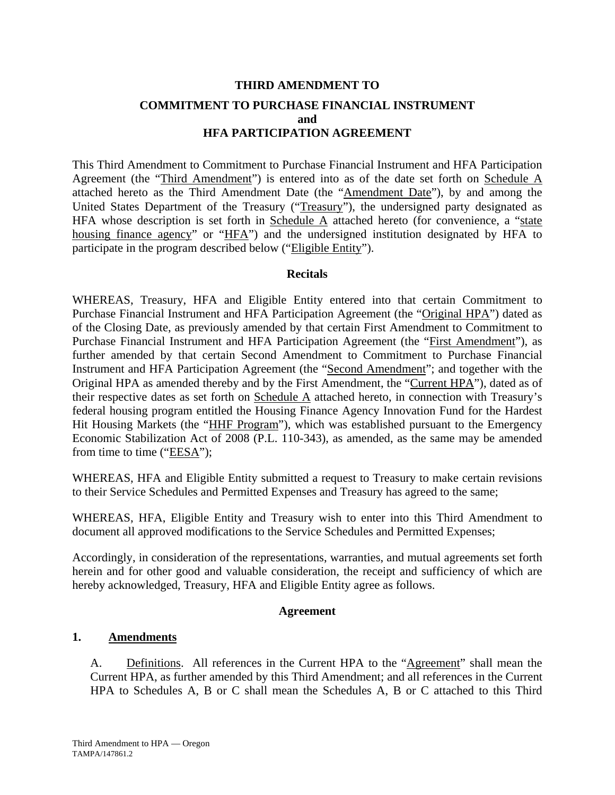# **THIRD AMENDMENT TO COMMITMENT TO PURCHASE FINANCIAL INSTRUMENT and HFA PARTICIPATION AGREEMENT**

This Third Amendment to Commitment to Purchase Financial Instrument and HFA Participation Agreement (the "Third Amendment") is entered into as of the date set forth on Schedule A attached hereto as the Third Amendment Date (the "Amendment Date"), by and among the United States Department of the Treasury ("Treasury"), the undersigned party designated as HFA whose description is set forth in Schedule  $\overline{A}$  attached hereto (for convenience, a "state housing finance agency" or "HFA") and the undersigned institution designated by HFA to participate in the program described below ("Eligible Entity").

## **Recitals**

WHEREAS, Treasury, HFA and Eligible Entity entered into that certain Commitment to Purchase Financial Instrument and HFA Participation Agreement (the "Original HPA") dated as of the Closing Date, as previously amended by that certain First Amendment to Commitment to Purchase Financial Instrument and HFA Participation Agreement (the "First Amendment"), as further amended by that certain Second Amendment to Commitment to Purchase Financial Instrument and HFA Participation Agreement (the "Second Amendment"; and together with the Original HPA as amended thereby and by the First Amendment, the "Current HPA"), dated as of their respective dates as set forth on Schedule A attached hereto, in connection with Treasury's federal housing program entitled the Housing Finance Agency Innovation Fund for the Hardest Hit Housing Markets (the "HHF Program"), which was established pursuant to the Emergency Economic Stabilization Act of 2008 (P.L. 110-343), as amended, as the same may be amended from time to time (" $EESA$ ");

WHEREAS, HFA and Eligible Entity submitted a request to Treasury to make certain revisions to their Service Schedules and Permitted Expenses and Treasury has agreed to the same;

WHEREAS, HFA, Eligible Entity and Treasury wish to enter into this Third Amendment to document all approved modifications to the Service Schedules and Permitted Expenses;

Accordingly, in consideration of the representations, warranties, and mutual agreements set forth herein and for other good and valuable consideration, the receipt and sufficiency of which are hereby acknowledged, Treasury, HFA and Eligible Entity agree as follows.

## **Agreement**

## **1. Amendments**

A. Definitions. All references in the Current HPA to the "Agreement" shall mean the Current HPA, as further amended by this Third Amendment; and all references in the Current HPA to Schedules A, B or C shall mean the Schedules A, B or C attached to this Third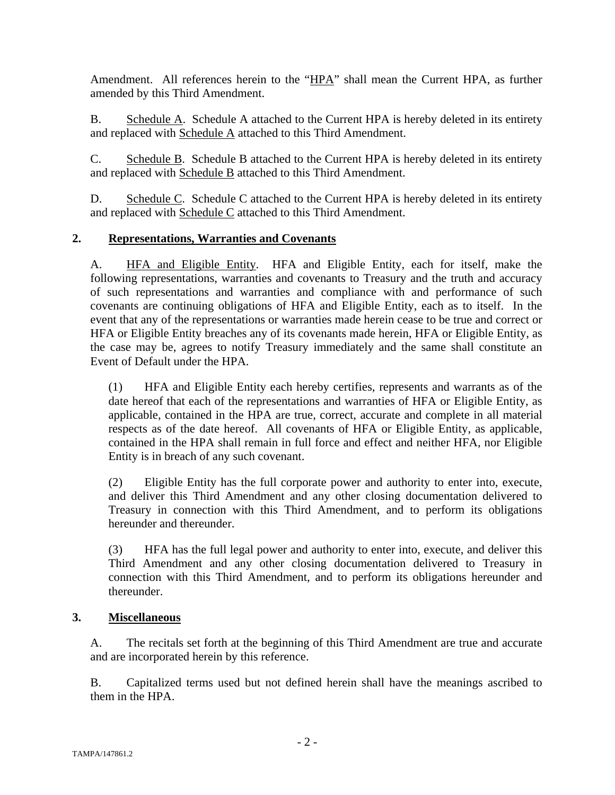Amendment. All references herein to the "HPA" shall mean the Current HPA, as further amended by this Third Amendment.

B. Schedule A. Schedule A attached to the Current HPA is hereby deleted in its entirety and replaced with Schedule A attached to this Third Amendment.

C. Schedule B. Schedule B attached to the Current HPA is hereby deleted in its entirety and replaced with Schedule B attached to this Third Amendment.

D. Schedule C. Schedule C attached to the Current HPA is hereby deleted in its entirety and replaced with Schedule C attached to this Third Amendment.

## **2. Representations, Warranties and Covenants**

A. HFA and Eligible Entity. HFA and Eligible Entity, each for itself, make the following representations, warranties and covenants to Treasury and the truth and accuracy of such representations and warranties and compliance with and performance of such covenants are continuing obligations of HFA and Eligible Entity, each as to itself. In the event that any of the representations or warranties made herein cease to be true and correct or HFA or Eligible Entity breaches any of its covenants made herein, HFA or Eligible Entity, as the case may be, agrees to notify Treasury immediately and the same shall constitute an Event of Default under the HPA.

(1) HFA and Eligible Entity each hereby certifies, represents and warrants as of the date hereof that each of the representations and warranties of HFA or Eligible Entity, as applicable, contained in the HPA are true, correct, accurate and complete in all material respects as of the date hereof. All covenants of HFA or Eligible Entity, as applicable, contained in the HPA shall remain in full force and effect and neither HFA, nor Eligible Entity is in breach of any such covenant.

(2) Eligible Entity has the full corporate power and authority to enter into, execute, and deliver this Third Amendment and any other closing documentation delivered to Treasury in connection with this Third Amendment, and to perform its obligations hereunder and thereunder.

(3) HFA has the full legal power and authority to enter into, execute, and deliver this Third Amendment and any other closing documentation delivered to Treasury in connection with this Third Amendment, and to perform its obligations hereunder and thereunder.

## **3. Miscellaneous**

A. The recitals set forth at the beginning of this Third Amendment are true and accurate and are incorporated herein by this reference.

B. Capitalized terms used but not defined herein shall have the meanings ascribed to them in the HPA.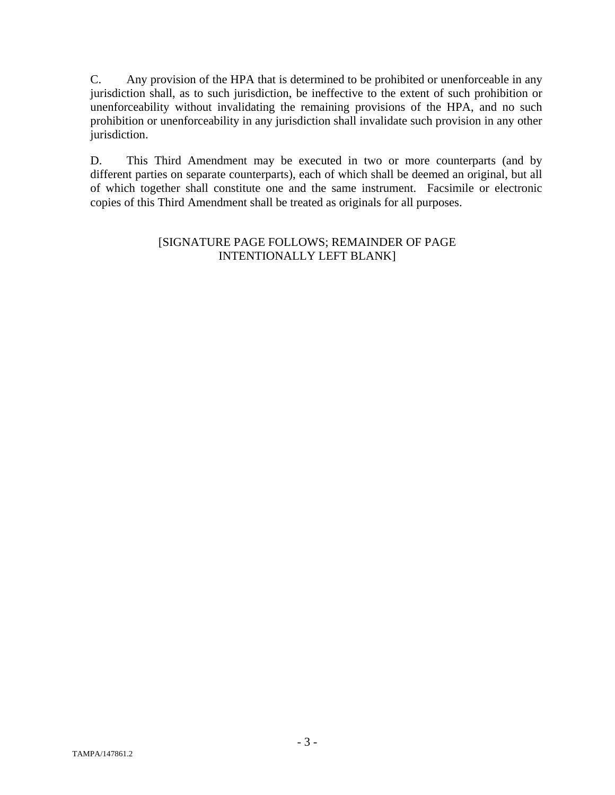C. Any provision of the HPA that is determined to be prohibited or unenforceable in any jurisdiction shall, as to such jurisdiction, be ineffective to the extent of such prohibition or unenforceability without invalidating the remaining provisions of the HPA, and no such prohibition or unenforceability in any jurisdiction shall invalidate such provision in any other jurisdiction.

D. This Third Amendment may be executed in two or more counterparts (and by different parties on separate counterparts), each of which shall be deemed an original, but all of which together shall constitute one and the same instrument. Facsimile or electronic copies of this Third Amendment shall be treated as originals for all purposes.

## [SIGNATURE PAGE FOLLOWS; REMAINDER OF PAGE INTENTIONALLY LEFT BLANK]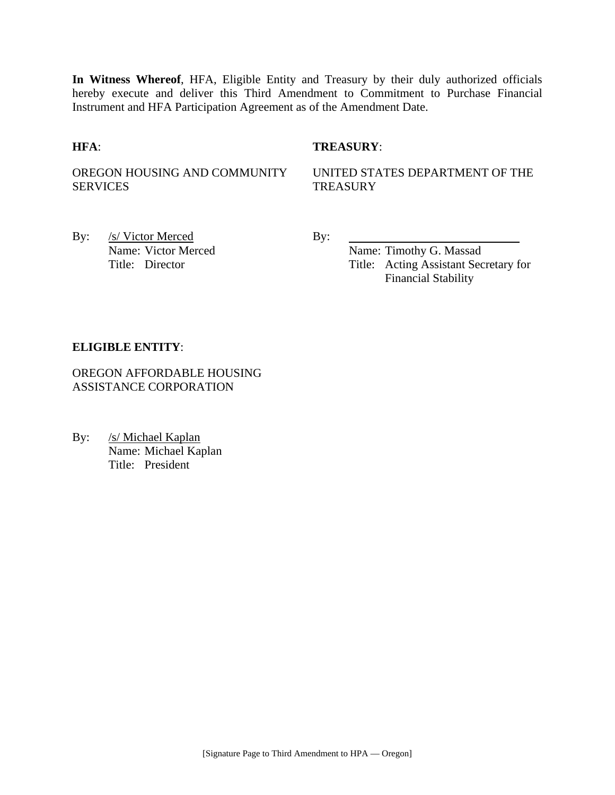**In Witness Whereof**, HFA, Eligible Entity and Treasury by their duly authorized officials hereby execute and deliver this Third Amendment to Commitment to Purchase Financial Instrument and HFA Participation Agreement as of the Amendment Date.

## **HFA**: **TREASURY**:

OREGON HOUSING AND COMMUNITY SERVICES

UNITED STATES DEPARTMENT OF THE **TREASURY** 

By: /s/ Victor Merced By:

Name: Victor Merced Name: Timothy G. Massad Title: Director Title: Acting Assistant Secretary for Financial Stability

#### **ELIGIBLE ENTITY**:

OREGON AFFORDABLE HOUSING ASSISTANCE CORPORATION

By: /s/ Michael Kaplan Name: Michael Kaplan Title: President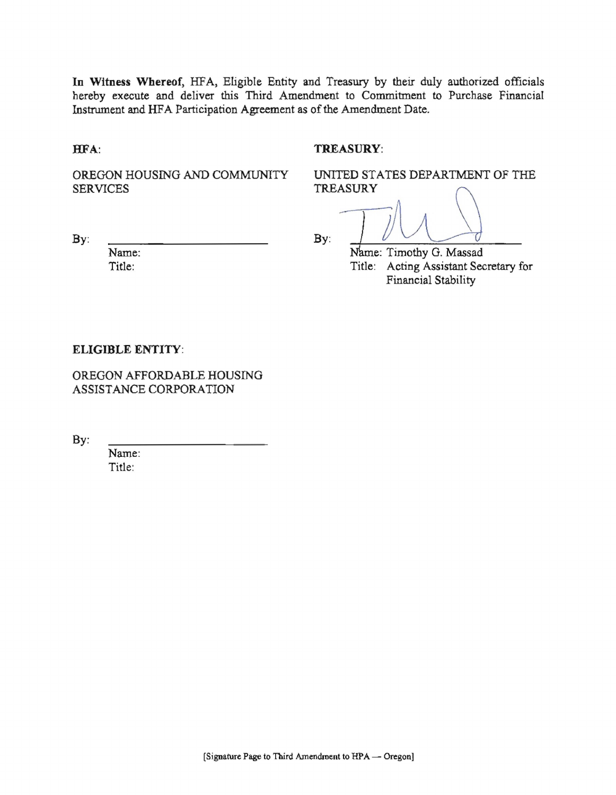In Witness Whereof, HFA, Eligible Entity and Treasury by their duly authorized officials hereby execute and deliver this Third Amendment to Commitment to Purchase Financial Instrument and HFA Participation Agreement as of the Amendment Date.

HFA:

 $By:$ 

#### TREASURY:

OREGON HOUSING AND COMMUNITY **SERVICES** 

UNITED STATES DEPARTMENT OF THE TREASURY

 $By:$ 

Name: Timothy G. Massad Title: Acting Assistant Secretary for Financial Stability

#### **ELIGIBLE ENTITY:**

Name: Title:

OREGON AFFORDABLE HOUSING ASSISTANCE CORPORATION

By:

Name: Title: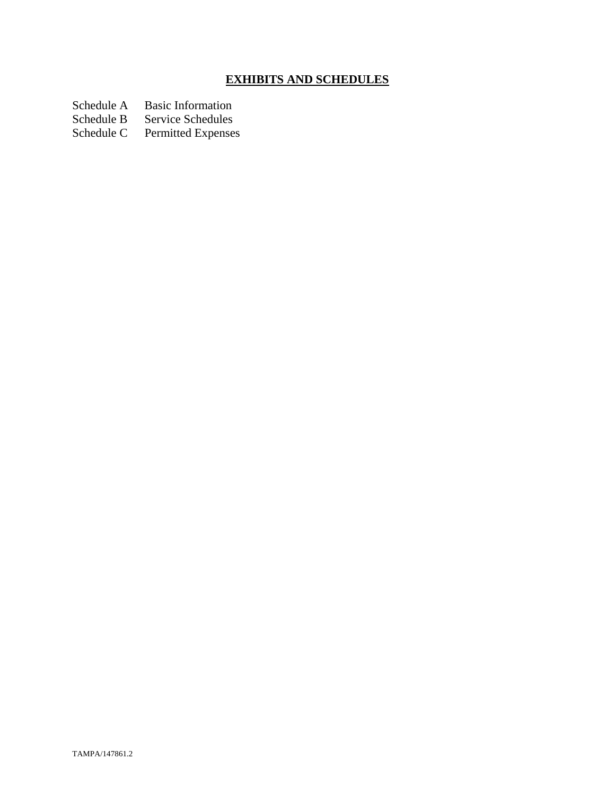# **EXHIBITS AND SCHEDULES**

Schedule A Basic Information<br>Schedule B Service Schedules

Schedule B Service Schedules<br>Schedule C Permitted Expenses

Permitted Expenses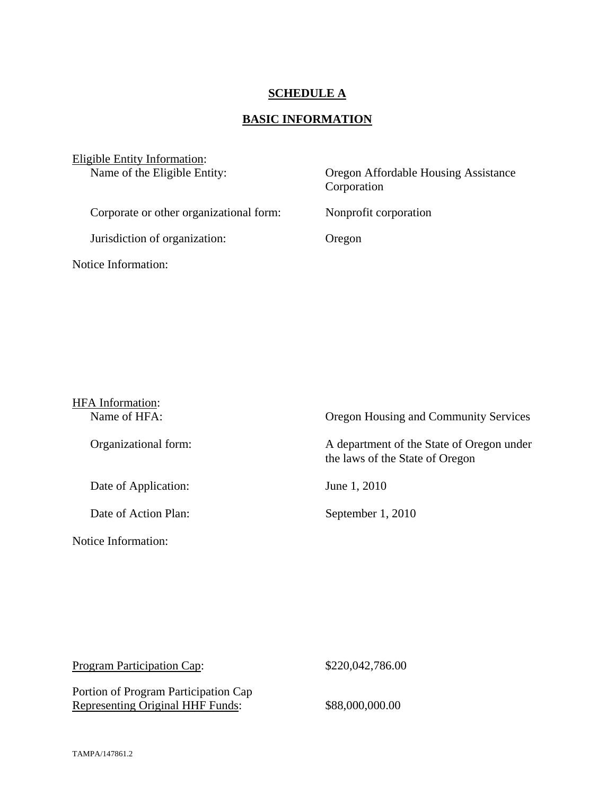## **SCHEDULE A**

# **BASIC INFORMATION**

| Eligible Entity Information:<br>Name of the Eligible Entity: | Oregon Affordable Housing Assistance<br>Corporation |  |
|--------------------------------------------------------------|-----------------------------------------------------|--|
| Corporate or other organizational form:                      | Nonprofit corporation                               |  |
| Jurisdiction of organization:                                | Oregon                                              |  |
| Notice Information:                                          |                                                     |  |

| <b>HFA</b> Information:<br>Name of HFA: | Oregon Housing and Community Services                                        |
|-----------------------------------------|------------------------------------------------------------------------------|
| Organizational form:                    | A department of the State of Oregon under<br>the laws of the State of Oregon |
| Date of Application:                    | June 1, 2010                                                                 |
| Date of Action Plan:                    | September 1, 2010                                                            |
| Notice Information:                     |                                                                              |

| <b>Program Participation Cap:</b>                                               | \$220,042,786.00 |
|---------------------------------------------------------------------------------|------------------|
| Portion of Program Participation Cap<br><b>Representing Original HHF Funds:</b> | \$88,000,000.00  |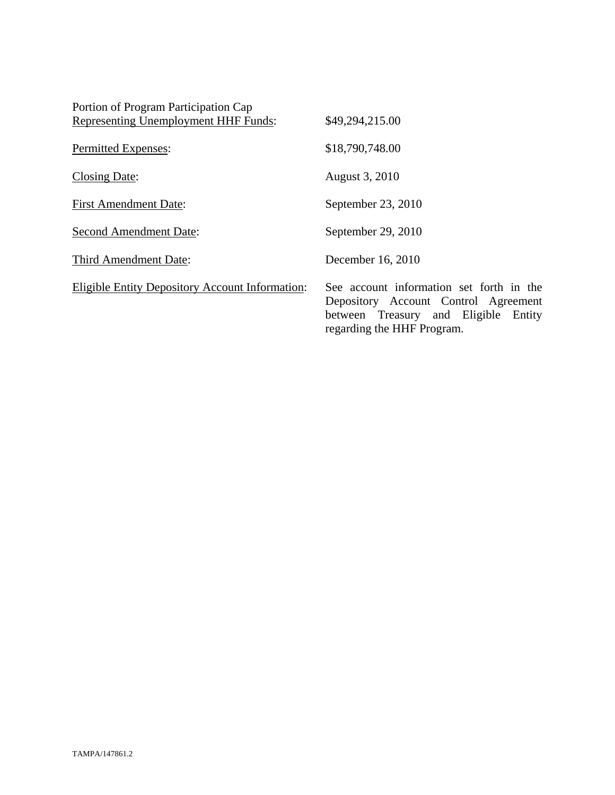| Portion of Program Participation Cap                   |                                                                                                                                                        |
|--------------------------------------------------------|--------------------------------------------------------------------------------------------------------------------------------------------------------|
| <b>Representing Unemployment HHF Funds:</b>            | \$49,294,215.00                                                                                                                                        |
| <b>Permitted Expenses:</b>                             | \$18,790,748.00                                                                                                                                        |
| Closing Date:                                          | August 3, 2010                                                                                                                                         |
| <b>First Amendment Date:</b>                           | September 23, 2010                                                                                                                                     |
| <b>Second Amendment Date:</b>                          | September 29, 2010                                                                                                                                     |
| Third Amendment Date:                                  | December 16, 2010                                                                                                                                      |
| <b>Eligible Entity Depository Account Information:</b> | See account information set forth in the<br>Depository Account Control Agreement<br>between Treasury and Eligible Entity<br>regarding the HHF Program. |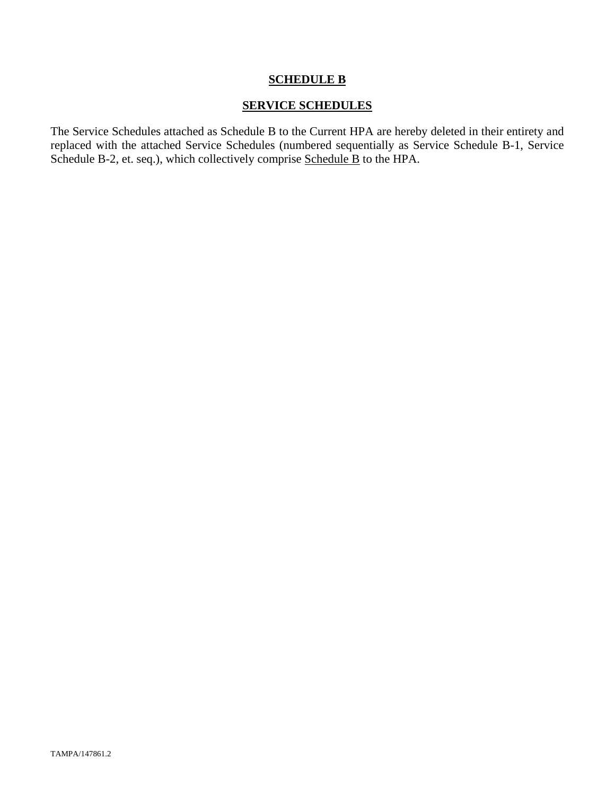## **SCHEDULE B**

## **SERVICE SCHEDULES**

The Service Schedules attached as Schedule B to the Current HPA are hereby deleted in their entirety and replaced with the attached Service Schedules (numbered sequentially as Service Schedule B-1, Service Schedule B-2, et. seq.), which collectively comprise Schedule B to the HPA.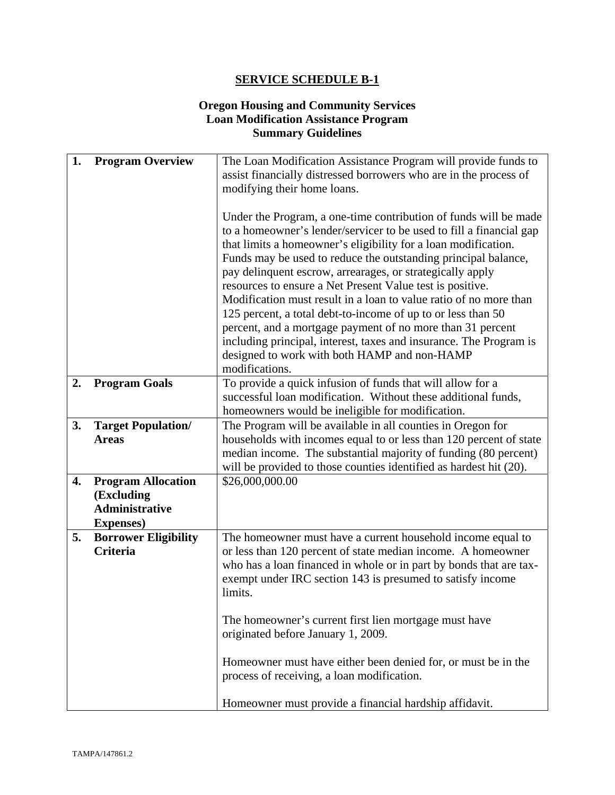## **Oregon Housing and Community Services Loan Modification Assistance Program Summary Guidelines**

| 1. | <b>Program Overview</b>                                                               | The Loan Modification Assistance Program will provide funds to<br>assist financially distressed borrowers who are in the process of<br>modifying their home loans.                                                                                                                                                                                                                                                                                                                                                                                                                                                                                                                                                                               |
|----|---------------------------------------------------------------------------------------|--------------------------------------------------------------------------------------------------------------------------------------------------------------------------------------------------------------------------------------------------------------------------------------------------------------------------------------------------------------------------------------------------------------------------------------------------------------------------------------------------------------------------------------------------------------------------------------------------------------------------------------------------------------------------------------------------------------------------------------------------|
|    |                                                                                       | Under the Program, a one-time contribution of funds will be made<br>to a homeowner's lender/servicer to be used to fill a financial gap<br>that limits a homeowner's eligibility for a loan modification.<br>Funds may be used to reduce the outstanding principal balance,<br>pay delinquent escrow, arrearages, or strategically apply<br>resources to ensure a Net Present Value test is positive.<br>Modification must result in a loan to value ratio of no more than<br>125 percent, a total debt-to-income of up to or less than 50<br>percent, and a mortgage payment of no more than 31 percent<br>including principal, interest, taxes and insurance. The Program is<br>designed to work with both HAMP and non-HAMP<br>modifications. |
| 2. | <b>Program Goals</b>                                                                  | To provide a quick infusion of funds that will allow for a<br>successful loan modification. Without these additional funds,<br>homeowners would be ineligible for modification.                                                                                                                                                                                                                                                                                                                                                                                                                                                                                                                                                                  |
| 3. | <b>Target Population/</b><br><b>Areas</b>                                             | The Program will be available in all counties in Oregon for<br>households with incomes equal to or less than 120 percent of state<br>median income. The substantial majority of funding (80 percent)<br>will be provided to those counties identified as hardest hit (20).                                                                                                                                                                                                                                                                                                                                                                                                                                                                       |
| 4. | <b>Program Allocation</b><br>(Excluding<br><b>Administrative</b><br><b>Expenses</b> ) | \$26,000,000.00                                                                                                                                                                                                                                                                                                                                                                                                                                                                                                                                                                                                                                                                                                                                  |
| 5. | <b>Borrower Eligibility</b><br>Criteria                                               | The homeowner must have a current household income equal to<br>or less than 120 percent of state median income. A homeowner<br>who has a loan financed in whole or in part by bonds that are tax-<br>exempt under IRC section 143 is presumed to satisfy income<br>limits.                                                                                                                                                                                                                                                                                                                                                                                                                                                                       |
|    |                                                                                       | The homeowner's current first lien mortgage must have<br>originated before January 1, 2009.                                                                                                                                                                                                                                                                                                                                                                                                                                                                                                                                                                                                                                                      |
|    |                                                                                       | Homeowner must have either been denied for, or must be in the<br>process of receiving, a loan modification.<br>Homeowner must provide a financial hardship affidavit.                                                                                                                                                                                                                                                                                                                                                                                                                                                                                                                                                                            |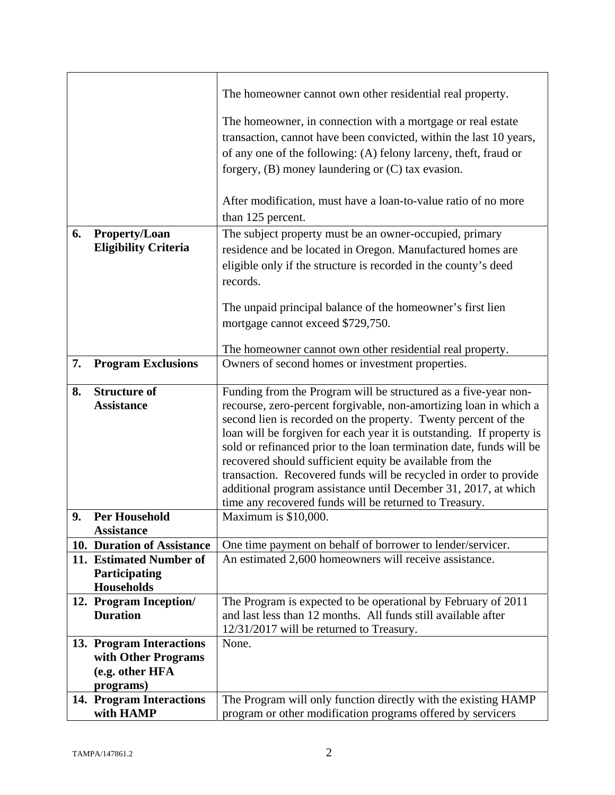|    |                                       | The homeowner cannot own other residential real property.                                                                     |
|----|---------------------------------------|-------------------------------------------------------------------------------------------------------------------------------|
|    |                                       | The homeowner, in connection with a mortgage or real estate                                                                   |
|    |                                       | transaction, cannot have been convicted, within the last 10 years,                                                            |
|    |                                       | of any one of the following: (A) felony larceny, theft, fraud or                                                              |
|    |                                       | forgery, $(B)$ money laundering or $(C)$ tax evasion.                                                                         |
|    |                                       |                                                                                                                               |
|    |                                       | After modification, must have a loan-to-value ratio of no more                                                                |
|    |                                       | than 125 percent.                                                                                                             |
| 6. | <b>Property/Loan</b>                  | The subject property must be an owner-occupied, primary                                                                       |
|    | <b>Eligibility Criteria</b>           | residence and be located in Oregon. Manufactured homes are                                                                    |
|    |                                       | eligible only if the structure is recorded in the county's deed                                                               |
|    |                                       | records.                                                                                                                      |
|    |                                       |                                                                                                                               |
|    |                                       | The unpaid principal balance of the homeowner's first lien                                                                    |
|    |                                       | mortgage cannot exceed \$729,750.                                                                                             |
|    |                                       |                                                                                                                               |
| 7. | <b>Program Exclusions</b>             | The homeowner cannot own other residential real property.<br>Owners of second homes or investment properties.                 |
|    |                                       |                                                                                                                               |
| 8. | <b>Structure of</b>                   | Funding from the Program will be structured as a five-year non-                                                               |
|    | <b>Assistance</b>                     | recourse, zero-percent forgivable, non-amortizing loan in which a                                                             |
|    |                                       | second lien is recorded on the property. Twenty percent of the                                                                |
|    |                                       | loan will be forgiven for each year it is outstanding. If property is                                                         |
|    |                                       | sold or refinanced prior to the loan termination date, funds will be                                                          |
|    |                                       | recovered should sufficient equity be available from the<br>transaction. Recovered funds will be recycled in order to provide |
|    |                                       | additional program assistance until December 31, 2017, at which                                                               |
|    |                                       | time any recovered funds will be returned to Treasury.                                                                        |
| 9. | <b>Per Household</b>                  | Maximum is \$10,000.                                                                                                          |
|    | <b>Assistance</b>                     |                                                                                                                               |
|    | 10. Duration of Assistance            | One time payment on behalf of borrower to lender/servicer.                                                                    |
|    | 11. Estimated Number of               | An estimated 2,600 homeowners will receive assistance.                                                                        |
|    | Participating<br><b>Households</b>    |                                                                                                                               |
|    | 12. Program Inception/                | The Program is expected to be operational by February of 2011                                                                 |
|    | <b>Duration</b>                       | and last less than 12 months. All funds still available after                                                                 |
|    |                                       | 12/31/2017 will be returned to Treasury.                                                                                      |
|    | 13. Program Interactions              | None.                                                                                                                         |
|    | with Other Programs                   |                                                                                                                               |
|    | (e.g. other HFA                       |                                                                                                                               |
|    | programs)                             |                                                                                                                               |
|    | 14. Program Interactions<br>with HAMP | The Program will only function directly with the existing HAMP<br>program or other modification programs offered by servicers |
|    |                                       |                                                                                                                               |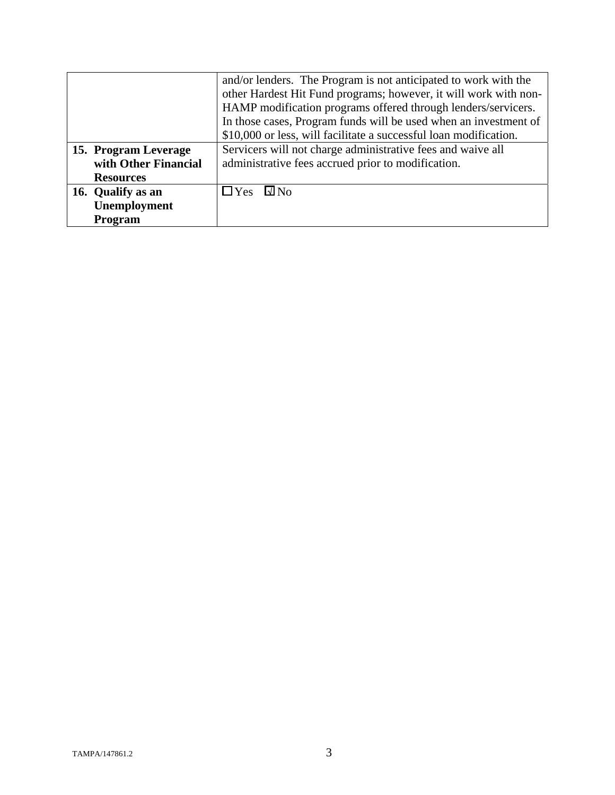|                      | and/or lenders. The Program is not anticipated to work with the   |
|----------------------|-------------------------------------------------------------------|
|                      | other Hardest Hit Fund programs; however, it will work with non-  |
|                      | HAMP modification programs offered through lenders/servicers.     |
|                      | In those cases, Program funds will be used when an investment of  |
|                      | \$10,000 or less, will facilitate a successful loan modification. |
| 15. Program Leverage | Servicers will not charge administrative fees and waive all       |
| with Other Financial | administrative fees accrued prior to modification.                |
| <b>Resources</b>     |                                                                   |
| 16. Qualify as an    | $\Box$ Yes<br>$\square$ No                                        |
| Unemployment         |                                                                   |
| Program              |                                                                   |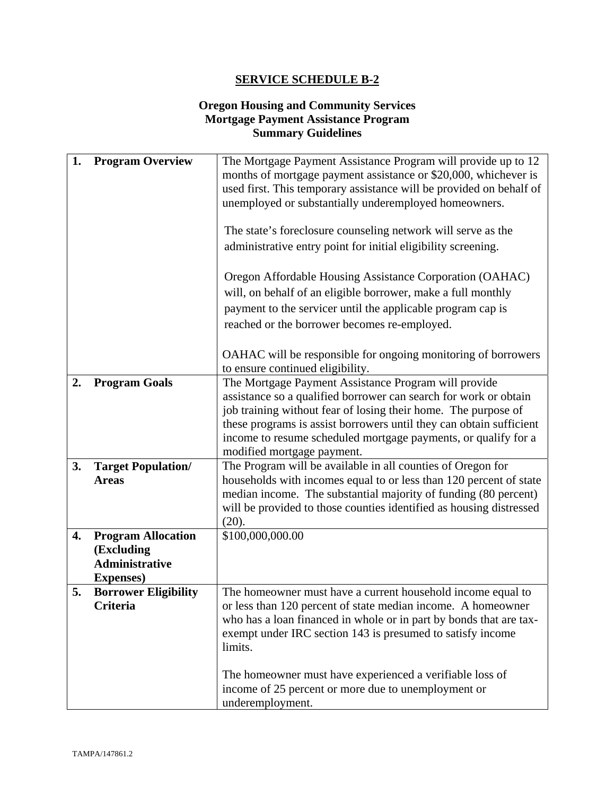## **Oregon Housing and Community Services Mortgage Payment Assistance Program Summary Guidelines**

| 1. | <b>Program Overview</b>                                                        | The Mortgage Payment Assistance Program will provide up to 12<br>months of mortgage payment assistance or \$20,000, whichever is<br>used first. This temporary assistance will be provided on behalf of<br>unemployed or substantially underemployed homeowners.<br>The state's foreclosure counseling network will serve as the<br>administrative entry point for initial eligibility screening.<br>Oregon Affordable Housing Assistance Corporation (OAHAC)<br>will, on behalf of an eligible borrower, make a full monthly<br>payment to the servicer until the applicable program cap is<br>reached or the borrower becomes re-employed. |
|----|--------------------------------------------------------------------------------|----------------------------------------------------------------------------------------------------------------------------------------------------------------------------------------------------------------------------------------------------------------------------------------------------------------------------------------------------------------------------------------------------------------------------------------------------------------------------------------------------------------------------------------------------------------------------------------------------------------------------------------------|
|    |                                                                                | OAHAC will be responsible for ongoing monitoring of borrowers<br>to ensure continued eligibility.                                                                                                                                                                                                                                                                                                                                                                                                                                                                                                                                            |
| 2. | <b>Program Goals</b>                                                           | The Mortgage Payment Assistance Program will provide<br>assistance so a qualified borrower can search for work or obtain<br>job training without fear of losing their home. The purpose of<br>these programs is assist borrowers until they can obtain sufficient<br>income to resume scheduled mortgage payments, or qualify for a<br>modified mortgage payment.                                                                                                                                                                                                                                                                            |
| 3. | <b>Target Population/</b><br><b>Areas</b>                                      | The Program will be available in all counties of Oregon for<br>households with incomes equal to or less than 120 percent of state<br>median income. The substantial majority of funding (80 percent)<br>will be provided to those counties identified as housing distressed<br>(20).                                                                                                                                                                                                                                                                                                                                                         |
| 4. | <b>Program Allocation</b><br>(Excluding<br>Administrative<br><b>Expenses</b> ) | \$100,000,000.00                                                                                                                                                                                                                                                                                                                                                                                                                                                                                                                                                                                                                             |
| 5. | <b>Borrower Eligibility</b><br><b>Criteria</b>                                 | The homeowner must have a current household income equal to<br>or less than 120 percent of state median income. A homeowner<br>who has a loan financed in whole or in part by bonds that are tax-<br>exempt under IRC section 143 is presumed to satisfy income<br>limits.<br>The homeowner must have experienced a verifiable loss of<br>income of 25 percent or more due to unemployment or<br>underemployment.                                                                                                                                                                                                                            |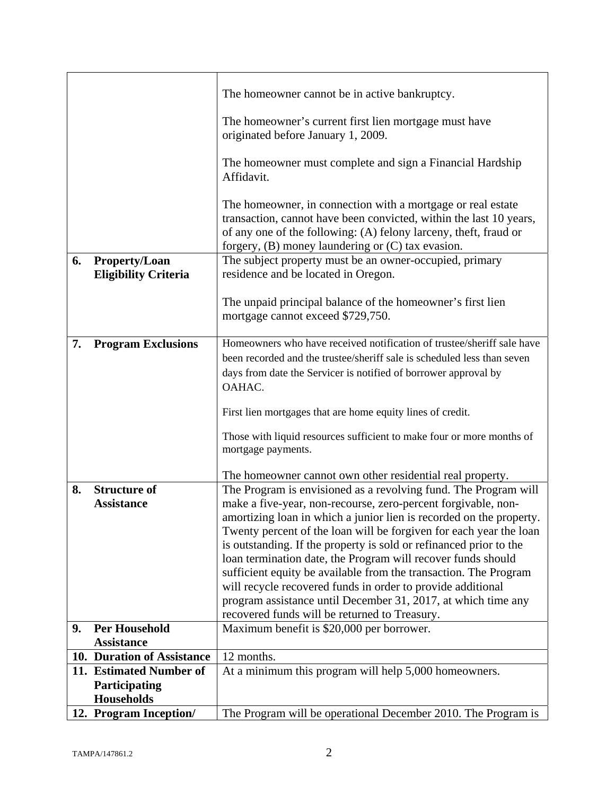|    |                                                     | The homeowner cannot be in active bankruptcy.                                                                                                                                                                                                                  |
|----|-----------------------------------------------------|----------------------------------------------------------------------------------------------------------------------------------------------------------------------------------------------------------------------------------------------------------------|
|    |                                                     | The homeowner's current first lien mortgage must have<br>originated before January 1, 2009.                                                                                                                                                                    |
|    |                                                     | The homeowner must complete and sign a Financial Hardship<br>Affidavit.                                                                                                                                                                                        |
|    |                                                     | The homeowner, in connection with a mortgage or real estate<br>transaction, cannot have been convicted, within the last 10 years,<br>of any one of the following: (A) felony larceny, theft, fraud or<br>forgery, $(B)$ money laundering or $(C)$ tax evasion. |
| 6. | <b>Property/Loan</b><br><b>Eligibility Criteria</b> | The subject property must be an owner-occupied, primary<br>residence and be located in Oregon.                                                                                                                                                                 |
|    |                                                     | The unpaid principal balance of the homeowner's first lien<br>mortgage cannot exceed \$729,750.                                                                                                                                                                |
| 7. | <b>Program Exclusions</b>                           | Homeowners who have received notification of trustee/sheriff sale have<br>been recorded and the trustee/sheriff sale is scheduled less than seven<br>days from date the Servicer is notified of borrower approval by<br>OAHAC.                                 |
|    |                                                     | First lien mortgages that are home equity lines of credit.                                                                                                                                                                                                     |
|    |                                                     | Those with liquid resources sufficient to make four or more months of<br>mortgage payments.                                                                                                                                                                    |
|    |                                                     | The homeowner cannot own other residential real property.                                                                                                                                                                                                      |
| 8. | <b>Structure of</b>                                 | The Program is envisioned as a revolving fund. The Program will                                                                                                                                                                                                |
|    | <b>Assistance</b>                                   | make a five-year, non-recourse, zero-percent forgivable, non-                                                                                                                                                                                                  |
|    |                                                     | amortizing loan in which a junior lien is recorded on the property.                                                                                                                                                                                            |
|    |                                                     | Twenty percent of the loan will be forgiven for each year the loan                                                                                                                                                                                             |
|    |                                                     | is outstanding. If the property is sold or refinanced prior to the                                                                                                                                                                                             |
|    |                                                     | loan termination date, the Program will recover funds should                                                                                                                                                                                                   |
|    |                                                     | sufficient equity be available from the transaction. The Program                                                                                                                                                                                               |
|    |                                                     | will recycle recovered funds in order to provide additional                                                                                                                                                                                                    |
|    |                                                     | program assistance until December 31, 2017, at which time any                                                                                                                                                                                                  |
|    | <b>Per Household</b>                                | recovered funds will be returned to Treasury.                                                                                                                                                                                                                  |
| 9. | <b>Assistance</b>                                   | Maximum benefit is \$20,000 per borrower.                                                                                                                                                                                                                      |
|    | 10. Duration of Assistance                          | 12 months.                                                                                                                                                                                                                                                     |
|    | 11. Estimated Number of                             | At a minimum this program will help 5,000 homeowners.                                                                                                                                                                                                          |
|    | Participating                                       |                                                                                                                                                                                                                                                                |
|    | <b>Households</b>                                   |                                                                                                                                                                                                                                                                |
|    | 12. Program Inception/                              | The Program will be operational December 2010. The Program is                                                                                                                                                                                                  |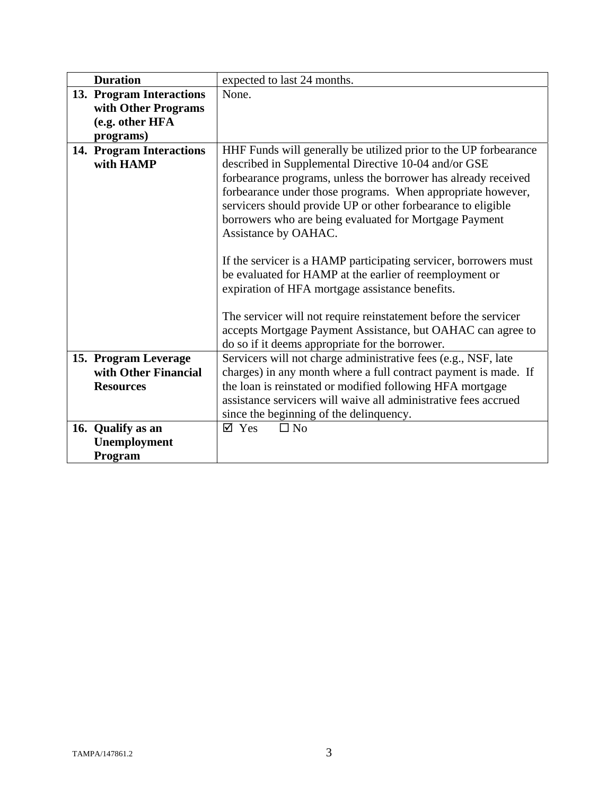| <b>Duration</b>          | expected to last 24 months.                                                                                                                                                                                                                                                     |
|--------------------------|---------------------------------------------------------------------------------------------------------------------------------------------------------------------------------------------------------------------------------------------------------------------------------|
| 13. Program Interactions | None.                                                                                                                                                                                                                                                                           |
| with Other Programs      |                                                                                                                                                                                                                                                                                 |
| (e.g. other HFA          |                                                                                                                                                                                                                                                                                 |
| programs)                |                                                                                                                                                                                                                                                                                 |
| 14. Program Interactions | HHF Funds will generally be utilized prior to the UP forbearance                                                                                                                                                                                                                |
| with HAMP                | described in Supplemental Directive 10-04 and/or GSE                                                                                                                                                                                                                            |
|                          | forbearance programs, unless the borrower has already received<br>forbearance under those programs. When appropriate however,<br>servicers should provide UP or other forbearance to eligible<br>borrowers who are being evaluated for Mortgage Payment<br>Assistance by OAHAC. |
|                          | If the servicer is a HAMP participating servicer, borrowers must<br>be evaluated for HAMP at the earlier of reemployment or<br>expiration of HFA mortgage assistance benefits.                                                                                                  |
|                          | The servicer will not require reinstatement before the servicer<br>accepts Mortgage Payment Assistance, but OAHAC can agree to<br>do so if it deems appropriate for the borrower.                                                                                               |
| 15. Program Leverage     | Servicers will not charge administrative fees (e.g., NSF, late                                                                                                                                                                                                                  |
| with Other Financial     | charges) in any month where a full contract payment is made. If                                                                                                                                                                                                                 |
| <b>Resources</b>         | the loan is reinstated or modified following HFA mortgage                                                                                                                                                                                                                       |
|                          | assistance servicers will waive all administrative fees accrued                                                                                                                                                                                                                 |
|                          | since the beginning of the delinquency.                                                                                                                                                                                                                                         |
| 16. Qualify as an        | $\boxtimes$ Yes<br>$\Box$ No                                                                                                                                                                                                                                                    |
| <b>Unemployment</b>      |                                                                                                                                                                                                                                                                                 |
| Program                  |                                                                                                                                                                                                                                                                                 |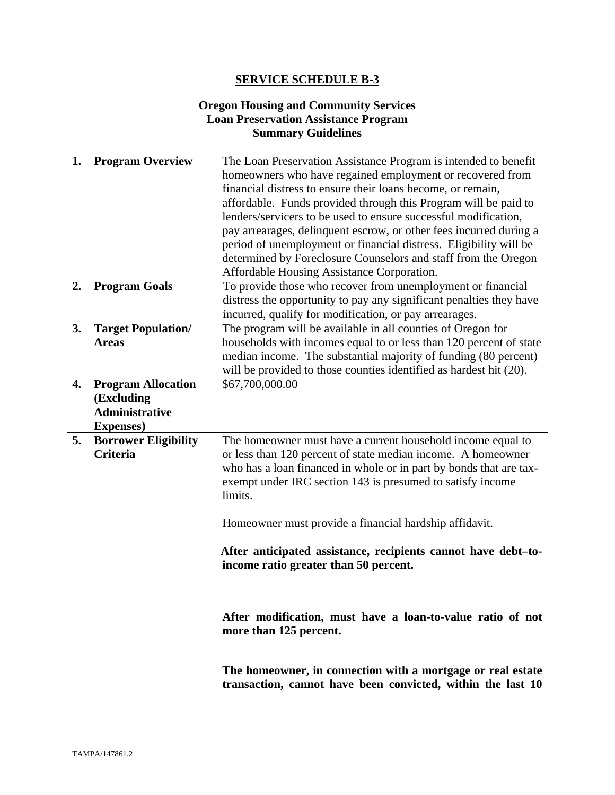## **Oregon Housing and Community Services Loan Preservation Assistance Program Summary Guidelines**

| 1. | <b>Program Overview</b>                                                               | The Loan Preservation Assistance Program is intended to benefit<br>homeowners who have regained employment or recovered from<br>financial distress to ensure their loans become, or remain,<br>affordable. Funds provided through this Program will be paid to<br>lenders/servicers to be used to ensure successful modification,<br>pay arrearages, delinquent escrow, or other fees incurred during a<br>period of unemployment or financial distress. Eligibility will be<br>determined by Foreclosure Counselors and staff from the Oregon<br>Affordable Housing Assistance Corporation. |
|----|---------------------------------------------------------------------------------------|----------------------------------------------------------------------------------------------------------------------------------------------------------------------------------------------------------------------------------------------------------------------------------------------------------------------------------------------------------------------------------------------------------------------------------------------------------------------------------------------------------------------------------------------------------------------------------------------|
| 2. | <b>Program Goals</b>                                                                  | To provide those who recover from unemployment or financial<br>distress the opportunity to pay any significant penalties they have<br>incurred, qualify for modification, or pay arrearages.                                                                                                                                                                                                                                                                                                                                                                                                 |
| 3. | <b>Target Population/</b><br><b>Areas</b>                                             | The program will be available in all counties of Oregon for<br>households with incomes equal to or less than 120 percent of state<br>median income. The substantial majority of funding (80 percent)<br>will be provided to those counties identified as hardest hit (20).                                                                                                                                                                                                                                                                                                                   |
| 4. | <b>Program Allocation</b><br>(Excluding<br><b>Administrative</b><br><b>Expenses</b> ) | \$67,700,000.00                                                                                                                                                                                                                                                                                                                                                                                                                                                                                                                                                                              |
| 5. | <b>Borrower Eligibility</b><br><b>Criteria</b>                                        | The homeowner must have a current household income equal to<br>or less than 120 percent of state median income. A homeowner<br>who has a loan financed in whole or in part by bonds that are tax-<br>exempt under IRC section 143 is presumed to satisfy income<br>limits.                                                                                                                                                                                                                                                                                                                   |
|    |                                                                                       | Homeowner must provide a financial hardship affidavit.                                                                                                                                                                                                                                                                                                                                                                                                                                                                                                                                       |
|    |                                                                                       | After anticipated assistance, recipients cannot have debt-to-<br>income ratio greater than 50 percent.                                                                                                                                                                                                                                                                                                                                                                                                                                                                                       |
|    |                                                                                       | After modification, must have a loan-to-value ratio of not<br>more than 125 percent.                                                                                                                                                                                                                                                                                                                                                                                                                                                                                                         |
|    |                                                                                       | The homeowner, in connection with a mortgage or real estate<br>transaction, cannot have been convicted, within the last 10                                                                                                                                                                                                                                                                                                                                                                                                                                                                   |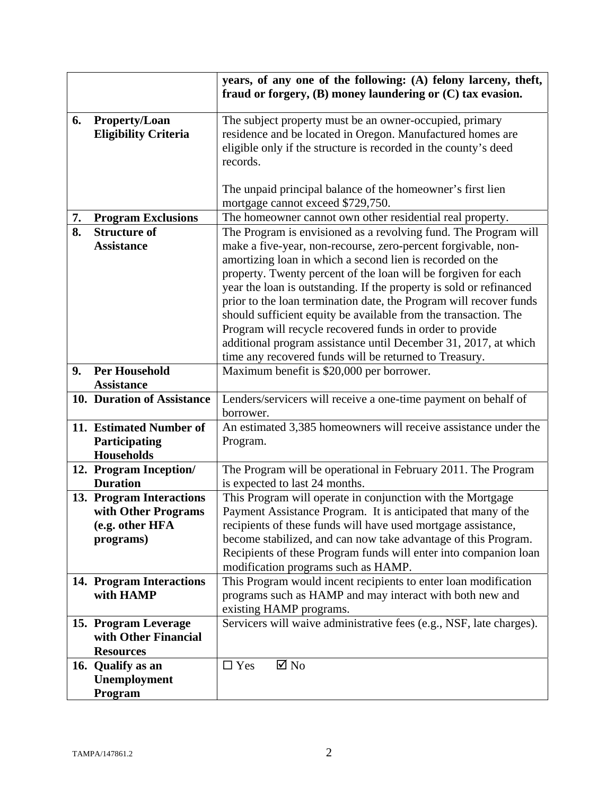|    |                             | years, of any one of the following: (A) felony larceny, theft,<br>fraud or forgery, (B) money laundering or (C) tax evasion. |
|----|-----------------------------|------------------------------------------------------------------------------------------------------------------------------|
| 6. | <b>Property/Loan</b>        | The subject property must be an owner-occupied, primary                                                                      |
|    | <b>Eligibility Criteria</b> | residence and be located in Oregon. Manufactured homes are                                                                   |
|    |                             | eligible only if the structure is recorded in the county's deed                                                              |
|    |                             | records.                                                                                                                     |
|    |                             |                                                                                                                              |
|    |                             |                                                                                                                              |
|    |                             | The unpaid principal balance of the homeowner's first lien                                                                   |
|    |                             | mortgage cannot exceed \$729,750.                                                                                            |
| 7. | <b>Program Exclusions</b>   | The homeowner cannot own other residential real property.                                                                    |
| 8. | <b>Structure of</b>         | The Program is envisioned as a revolving fund. The Program will                                                              |
|    | <b>Assistance</b>           | make a five-year, non-recourse, zero-percent forgivable, non-                                                                |
|    |                             | amortizing loan in which a second lien is recorded on the                                                                    |
|    |                             | property. Twenty percent of the loan will be forgiven for each                                                               |
|    |                             | year the loan is outstanding. If the property is sold or refinanced                                                          |
|    |                             | prior to the loan termination date, the Program will recover funds                                                           |
|    |                             | should sufficient equity be available from the transaction. The                                                              |
|    |                             | Program will recycle recovered funds in order to provide                                                                     |
|    |                             | additional program assistance until December 31, 2017, at which                                                              |
|    |                             | time any recovered funds will be returned to Treasury.                                                                       |
| 9. | <b>Per Household</b>        | Maximum benefit is \$20,000 per borrower.                                                                                    |
|    | <b>Assistance</b>           |                                                                                                                              |
|    | 10. Duration of Assistance  | Lenders/servicers will receive a one-time payment on behalf of                                                               |
|    |                             | borrower.                                                                                                                    |
|    | 11. Estimated Number of     | An estimated 3,385 homeowners will receive assistance under the                                                              |
|    | Participating               | Program.                                                                                                                     |
|    | <b>Households</b>           |                                                                                                                              |
|    | 12. Program Inception/      | The Program will be operational in February 2011. The Program                                                                |
|    | <b>Duration</b>             | is expected to last 24 months.                                                                                               |
|    | 13. Program Interactions    | This Program will operate in conjunction with the Mortgage                                                                   |
|    | with Other Programs         | Payment Assistance Program. It is anticipated that many of the                                                               |
|    | (e.g. other HFA             | recipients of these funds will have used mortgage assistance,                                                                |
|    | programs)                   | become stabilized, and can now take advantage of this Program.                                                               |
|    |                             | Recipients of these Program funds will enter into companion loan                                                             |
|    |                             | modification programs such as HAMP.                                                                                          |
|    | 14. Program Interactions    | This Program would incent recipients to enter loan modification                                                              |
|    | with HAMP                   | programs such as HAMP and may interact with both new and                                                                     |
|    |                             | existing HAMP programs.                                                                                                      |
|    | 15. Program Leverage        | Servicers will waive administrative fees (e.g., NSF, late charges).                                                          |
|    | with Other Financial        |                                                                                                                              |
|    | <b>Resources</b>            |                                                                                                                              |
|    | 16. Qualify as an           | $\boxtimes$ No<br>$\Box$ Yes                                                                                                 |
|    | Unemployment                |                                                                                                                              |
|    | Program                     |                                                                                                                              |
|    |                             |                                                                                                                              |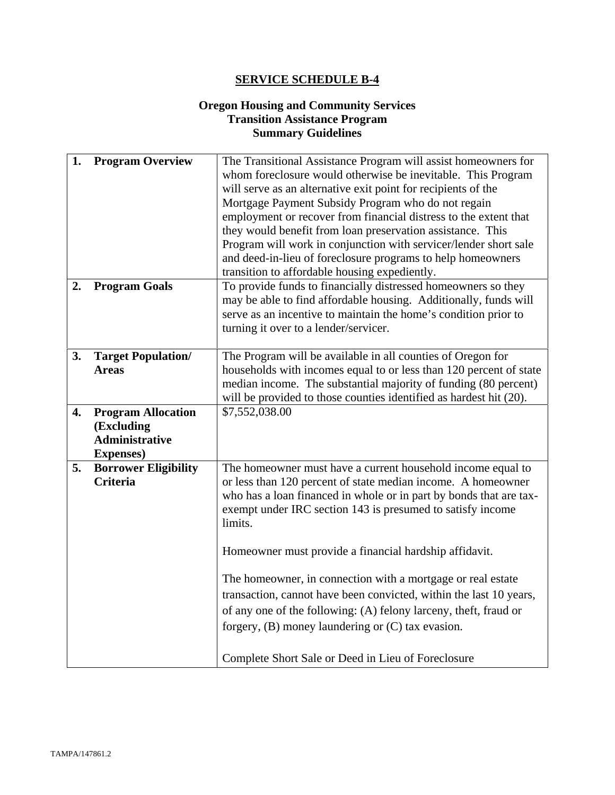## **Oregon Housing and Community Services Transition Assistance Program Summary Guidelines**

| 1. | <b>Program Overview</b>                                                               | The Transitional Assistance Program will assist homeowners for<br>whom foreclosure would otherwise be inevitable. This Program<br>will serve as an alternative exit point for recipients of the<br>Mortgage Payment Subsidy Program who do not regain<br>employment or recover from financial distress to the extent that            |
|----|---------------------------------------------------------------------------------------|--------------------------------------------------------------------------------------------------------------------------------------------------------------------------------------------------------------------------------------------------------------------------------------------------------------------------------------|
|    |                                                                                       | they would benefit from loan preservation assistance. This<br>Program will work in conjunction with servicer/lender short sale<br>and deed-in-lieu of foreclosure programs to help homeowners<br>transition to affordable housing expediently.                                                                                       |
| 2. | <b>Program Goals</b>                                                                  | To provide funds to financially distressed homeowners so they<br>may be able to find affordable housing. Additionally, funds will<br>serve as an incentive to maintain the home's condition prior to<br>turning it over to a lender/servicer.                                                                                        |
| 3. | <b>Target Population/</b><br><b>Areas</b>                                             | The Program will be available in all counties of Oregon for<br>households with incomes equal to or less than 120 percent of state<br>median income. The substantial majority of funding (80 percent)<br>will be provided to those counties identified as hardest hit (20).                                                           |
| 4. | <b>Program Allocation</b><br>(Excluding<br><b>Administrative</b><br><b>Expenses</b> ) | \$7,552,038.00                                                                                                                                                                                                                                                                                                                       |
| 5. | <b>Borrower Eligibility</b><br>Criteria                                               | The homeowner must have a current household income equal to<br>or less than 120 percent of state median income. A homeowner<br>who has a loan financed in whole or in part by bonds that are tax-<br>exempt under IRC section 143 is presumed to satisfy income<br>limits.<br>Homeowner must provide a financial hardship affidavit. |
|    |                                                                                       | The homeowner, in connection with a mortgage or real estate<br>transaction, cannot have been convicted, within the last 10 years,<br>of any one of the following: (A) felony larceny, theft, fraud or<br>forgery, (B) money laundering or (C) tax evasion.<br>Complete Short Sale or Deed in Lieu of Foreclosure                     |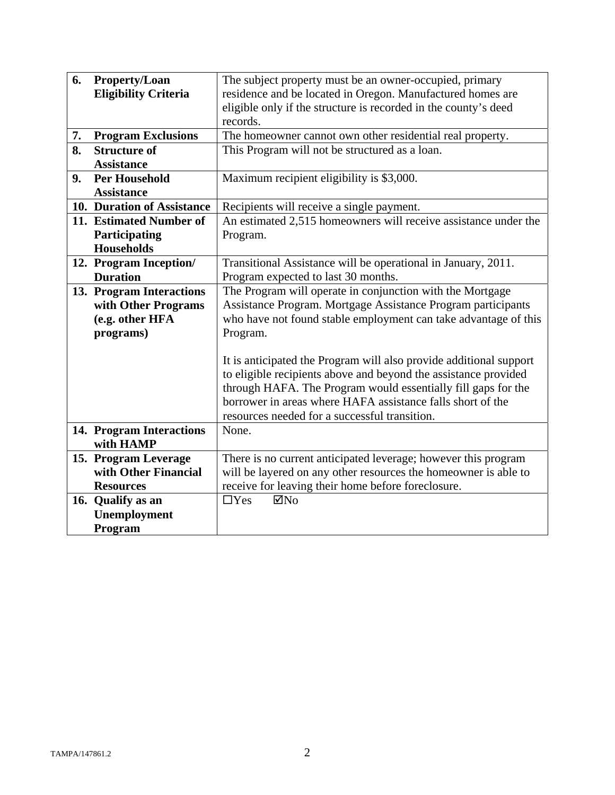| 6. | <b>Property/Loan</b><br><b>Eligibility Criteria</b> | The subject property must be an owner-occupied, primary<br>residence and be located in Oregon. Manufactured homes are                                                                                                                                                                                                 |  |  |
|----|-----------------------------------------------------|-----------------------------------------------------------------------------------------------------------------------------------------------------------------------------------------------------------------------------------------------------------------------------------------------------------------------|--|--|
|    |                                                     | eligible only if the structure is recorded in the county's deed<br>records.                                                                                                                                                                                                                                           |  |  |
| 7. |                                                     |                                                                                                                                                                                                                                                                                                                       |  |  |
| 8. | <b>Program Exclusions</b><br><b>Structure of</b>    | The homeowner cannot own other residential real property.                                                                                                                                                                                                                                                             |  |  |
|    | <b>Assistance</b>                                   | This Program will not be structured as a loan.                                                                                                                                                                                                                                                                        |  |  |
| 9. | <b>Per Household</b>                                |                                                                                                                                                                                                                                                                                                                       |  |  |
|    | <b>Assistance</b>                                   | Maximum recipient eligibility is \$3,000.                                                                                                                                                                                                                                                                             |  |  |
|    | 10. Duration of Assistance                          | Recipients will receive a single payment.                                                                                                                                                                                                                                                                             |  |  |
|    | 11. Estimated Number of                             | An estimated 2,515 homeowners will receive assistance under the                                                                                                                                                                                                                                                       |  |  |
|    | Participating                                       | Program.                                                                                                                                                                                                                                                                                                              |  |  |
|    | <b>Households</b>                                   |                                                                                                                                                                                                                                                                                                                       |  |  |
|    | 12. Program Inception/                              | Transitional Assistance will be operational in January, 2011.                                                                                                                                                                                                                                                         |  |  |
|    | <b>Duration</b>                                     | Program expected to last 30 months.                                                                                                                                                                                                                                                                                   |  |  |
|    | 13. Program Interactions                            | The Program will operate in conjunction with the Mortgage                                                                                                                                                                                                                                                             |  |  |
|    | with Other Programs                                 | Assistance Program. Mortgage Assistance Program participants                                                                                                                                                                                                                                                          |  |  |
|    | (e.g. other HFA                                     | who have not found stable employment can take advantage of this                                                                                                                                                                                                                                                       |  |  |
|    | programs)                                           | Program.                                                                                                                                                                                                                                                                                                              |  |  |
|    |                                                     | It is anticipated the Program will also provide additional support<br>to eligible recipients above and beyond the assistance provided<br>through HAFA. The Program would essentially fill gaps for the<br>borrower in areas where HAFA assistance falls short of the<br>resources needed for a successful transition. |  |  |
|    | 14. Program Interactions<br>with HAMP               | None.                                                                                                                                                                                                                                                                                                                 |  |  |
|    | 15. Program Leverage                                | There is no current anticipated leverage; however this program                                                                                                                                                                                                                                                        |  |  |
|    | with Other Financial                                | will be layered on any other resources the homeowner is able to                                                                                                                                                                                                                                                       |  |  |
|    | <b>Resources</b>                                    | receive for leaving their home before foreclosure.                                                                                                                                                                                                                                                                    |  |  |
|    | 16. Qualify as an                                   | $\Box$ Yes<br>$\boxtimes$ No                                                                                                                                                                                                                                                                                          |  |  |
|    | <b>Unemployment</b>                                 |                                                                                                                                                                                                                                                                                                                       |  |  |
|    | Program                                             |                                                                                                                                                                                                                                                                                                                       |  |  |